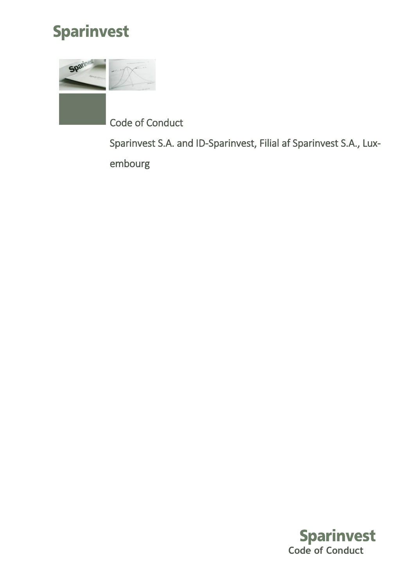

Sparin

Code of Conduct

Sparinvest S.A. and ID-Sparinvest, Filial af Sparinvest S.A., Luxembourg

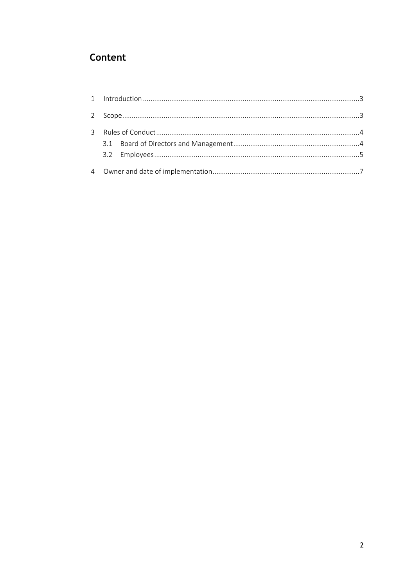# Content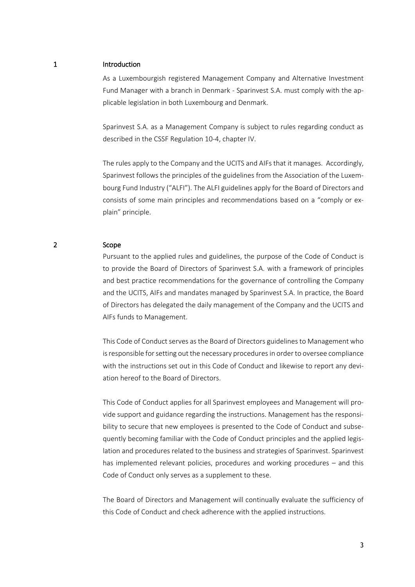## <span id="page-2-0"></span>1 Introduction

As a Luxembourgish registered Management Company and Alternative Investment Fund Manager with a branch in Denmark - Sparinvest S.A. must comply with the applicable legislation in both Luxembourg and Denmark.

Sparinvest S.A. as a Management Company is subject to rules regarding conduct as described in the CSSF Regulation 10-4, chapter IV.

The rules apply to the Company and the UCITS and AIFs that it manages. Accordingly, Sparinvest follows the principles of the guidelines from the Association of the Luxembourg Fund Industry ("ALFI"). The ALFI guidelines apply for the Board of Directors and consists of some main principles and recommendations based on a "comply or explain" principle.

#### <span id="page-2-1"></span>2 Scope

Pursuant to the applied rules and guidelines, the purpose of the Code of Conduct is to provide the Board of Directors of Sparinvest S.A. with a framework of principles and best practice recommendations for the governance of controlling the Company and the UCITS, AIFs and mandates managed by Sparinvest S.A. In practice, the Board of Directors has delegated the daily management of the Company and the UCITS and AIFs funds to Management.

This Code of Conduct serves as the Board of Directors guidelinesto Management who is responsible for setting out the necessary procedures in order to oversee compliance with the instructions set out in this Code of Conduct and likewise to report any deviation hereof to the Board of Directors.

This Code of Conduct applies for all Sparinvest employees and Management will provide support and guidance regarding the instructions. Management has the responsibility to secure that new employees is presented to the Code of Conduct and subsequently becoming familiar with the Code of Conduct principles and the applied legislation and procedures related to the business and strategies of Sparinvest. Sparinvest has implemented relevant policies, procedures and working procedures – and this Code of Conduct only serves as a supplement to these.

The Board of Directors and Management will continually evaluate the sufficiency of this Code of Conduct and check adherence with the applied instructions.

3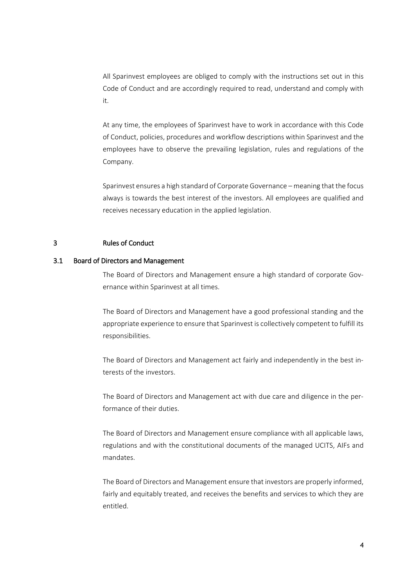All Sparinvest employees are obliged to comply with the instructions set out in this Code of Conduct and are accordingly required to read, understand and comply with it.

At any time, the employees of Sparinvest have to work in accordance with this Code of Conduct, policies, procedures and workflow descriptions within Sparinvest and the employees have to observe the prevailing legislation, rules and regulations of the Company.

Sparinvest ensures a high standard of Corporate Governance – meaning that the focus always is towards the best interest of the investors. All employees are qualified and receives necessary education in the applied legislation.

### <span id="page-3-0"></span>3 Rules of Conduct

### <span id="page-3-1"></span>3.1 Board of Directors and Management

The Board of Directors and Management ensure a high standard of corporate Governance within Sparinvest at all times.

The Board of Directors and Management have a good professional standing and the appropriate experience to ensure that Sparinvest is collectively competent to fulfill its responsibilities.

The Board of Directors and Management act fairly and independently in the best interests of the investors.

The Board of Directors and Management act with due care and diligence in the performance of their duties.

The Board of Directors and Management ensure compliance with all applicable laws, regulations and with the constitutional documents of the managed UCITS, AIFs and mandates.

The Board of Directors and Management ensure that investors are properly informed, fairly and equitably treated, and receives the benefits and services to which they are entitled.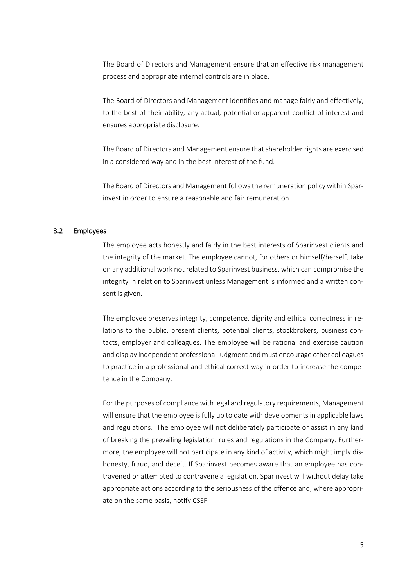The Board of Directors and Management ensure that an effective risk management process and appropriate internal controls are in place.

The Board of Directors and Management identifies and manage fairly and effectively, to the best of their ability, any actual, potential or apparent conflict of interest and ensures appropriate disclosure.

The Board of Directors and Management ensure that shareholder rights are exercised in a considered way and in the best interest of the fund.

The Board of Directors and Management follows the remuneration policy within Sparinvest in order to ensure a reasonable and fair remuneration.

#### <span id="page-4-0"></span>3.2 Employees

The employee acts honestly and fairly in the best interests of Sparinvest clients and the integrity of the market. The employee cannot, for others or himself/herself, take on any additional work not related to Sparinvest business, which can compromise the integrity in relation to Sparinvest unless Management is informed and a written consent is given.

The employee preserves integrity, competence, dignity and ethical correctness in relations to the public, present clients, potential clients, stockbrokers, business contacts, employer and colleagues. The employee will be rational and exercise caution and display independent professional judgment and must encourage other colleagues to practice in a professional and ethical correct way in order to increase the competence in the Company.

For the purposes of compliance with legal and regulatory requirements, Management will ensure that the employee is fully up to date with developments in applicable laws and regulations. The employee will not deliberately participate or assist in any kind of breaking the prevailing legislation, rules and regulations in the Company. Furthermore, the employee will not participate in any kind of activity, which might imply dishonesty, fraud, and deceit. If Sparinvest becomes aware that an employee has contravened or attempted to contravene a legislation, Sparinvest will without delay take appropriate actions according to the seriousness of the offence and, where appropriate on the same basis, notify CSSF.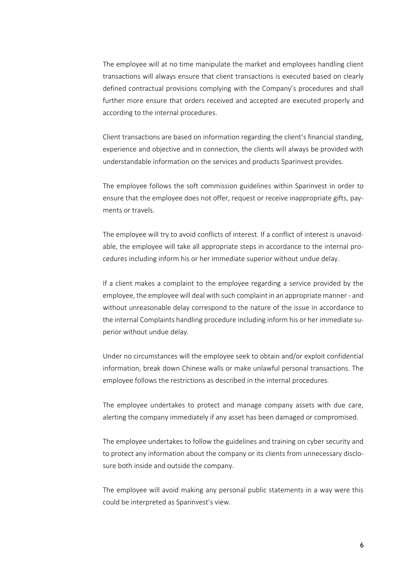The employee will at no time manipulate the market and employees handling client transactions will always ensure that client transactions is executed based on clearly defined contractual provisions complying with the Company's procedures and shall further more ensure that orders received and accepted are executed properly and according to the internal procedures.

Client transactions are based on information regarding the client's financial standing, experience and objective and in connection, the clients will always be provided with understandable information on the services and products Sparinvest provides.

The employee follows the soft commission guidelines within Sparinvest in order to ensure that the employee does not offer, request or receive inappropriate gifts, payments or travels.

The employee will try to avoid conflicts of interest. If a conflict of interest is unavoidable, the employee will take all appropriate steps in accordance to the internal procedures including inform his or her immediate superior without undue delay.

If a client makes a complaint to the employee regarding a service provided by the employee, the employee will deal with such complaint in an appropriate manner - and without unreasonable delay correspond to the nature of the issue in accordance to the internal Complaints handling procedure including inform his or her immediate superior without undue delay.

Under no circumstances will the employee seek to obtain and/or exploit confidential information, break down Chinese walls or make unlawful personal transactions. The employee follows the restrictions as described in the internal procedures.

The employee undertakes to protect and manage company assets with due care, alerting the company immediately if any asset has been damaged or compromised.

The employee undertakes to follow the guidelines and training on cyber security and to protect any information about the company or its clients from unnecessary disclosure both inside and outside the company.

The employee will avoid making any personal public statements in a way were this could be interpreted as Sparinvest's view.